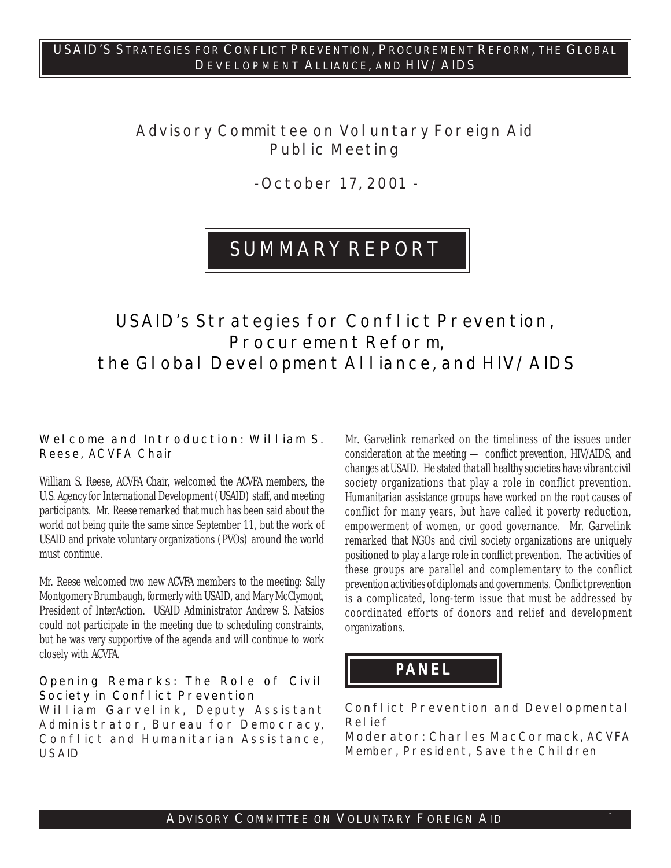## **Advisory Committee on Voluntary Foreign Aid Public Meeting**

**- October 17, 2001 -**

## **SUMMARY REPORT**

## **USAID's Strategies for Conflict Prevention, Procurement Reform, the Global Development Alliance, and HIV/AIDS**

#### **Welcome and Introduction: William S. Reese,** ACVFA Chair

William S. Reese, ACVFA Chair, welcomed the ACVFA members, the U.S. Agency for International Development (USAID) staff, and meeting participants. Mr. Reese remarked that much has been said about the world not being quite the same since September 11, but the work of USAID and private voluntary organizations (PVOs) around the world must continue.

Mr. Reese welcomed two new ACVFA members to the meeting: Sally Montgomery Brumbaugh, formerly with USAID, and Mary McClymont, President of InterAction. USAID Administrator Andrew S. Natsios could not participate in the meeting due to scheduling constraints, but he was very supportive of the agenda and will continue to work closely with ACVFA.

#### **Opening Remarks: The Role of Civil Society in Conflict Prevention**

**William Garvelink,** Deputy Assistant Administrator, Bureau for Democracy, Conflict and Humanitarian Assistance, USAID

Mr. Garvelink remarked on the timeliness of the issues under consideration at the meeting — conflict prevention, HIV/AIDS, and changes at USAID. He stated that all healthy societies have vibrant civil society organizations that play a role in conflict prevention. Humanitarian assistance groups have worked on the root causes of conflict for many years, but have called it poverty reduction, empowerment of women, or good governance. Mr. Garvelink remarked that NGOs and civil society organizations are uniquely positioned to play a large role in conflict prevention. The activities of these groups are parallel and complementary to the conflict prevention activities of diplomats and governments. Conflict prevention is a complicated, long-term issue that must be addressed by coordinated efforts of donors and relief and development organizations.

# **PANEL**

#### **Conflict Prevention and Developmental Relief**

**Moderator: Charles MacCormack,** ACVFA Member, President, Save the Children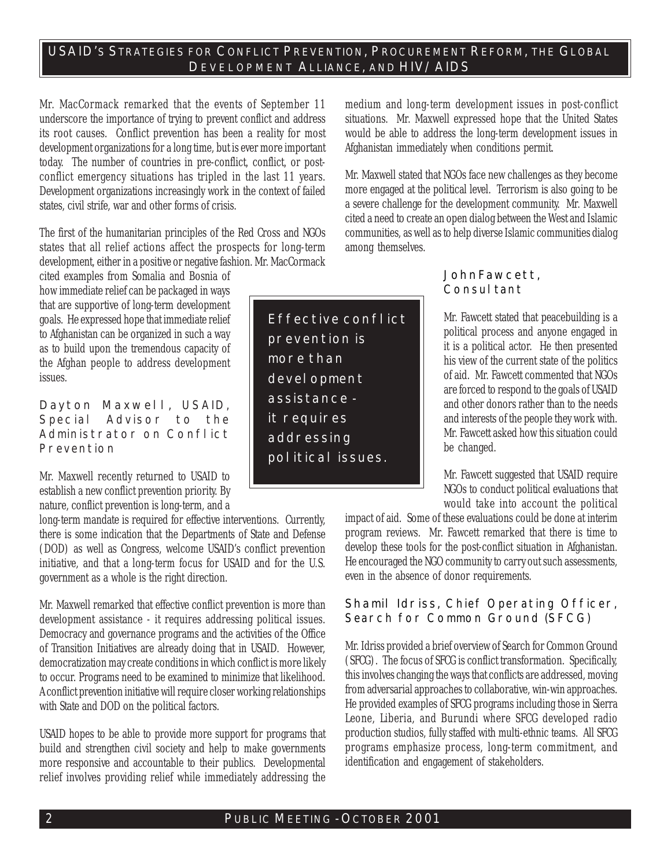Mr. MacCormack remarked that the events of September 11 underscore the importance of trying to prevent conflict and address its root causes. Conflict prevention has been a reality for most development organizations for a long time, but is ever more important today. The number of countries in pre-conflict, conflict, or postconflict emergency situations has tripled in the last 11 years. Development organizations increasingly work in the context of failed states, civil strife, war and other forms of crisis.

The first of the humanitarian principles of the Red Cross and NGOs states that all relief actions affect the prospects for long-term development, either in a positive or negative fashion. Mr. MacCormack

cited examples from Somalia and Bosnia of how immediate relief can be packaged in ways that are supportive of long-term development goals. He expressed hope that immediate relief to Afghanistan can be organized in such a way as to build upon the tremendous capacity of the Afghan people to address development issues.

**Dayton Maxwell,** USAID, Special Advisor to the Administrator on Conflict Prevention

Mr. Maxwell recently returned to USAID to establish a new conflict prevention priority. By nature, conflict prevention is long-term, and a

long-term mandate is required for effective interventions. Currently, there is some indication that the Departments of State and Defense (DOD) as well as Congress, welcome USAID's conflict prevention initiative, and that a long-term focus for USAID and for the U.S. government as a whole is the right direction.

Mr. Maxwell remarked that effective conflict prevention is more than development assistance - it requires addressing political issues. Democracy and governance programs and the activities of the Office of Transition Initiatives are already doing that in USAID. However, democratization may create conditions in which conflict is more likely to occur. Programs need to be examined to minimize that likelihood. A conflict prevention initiative will require closer working relationships with State and DOD on the political factors.

USAID hopes to be able to provide more support for programs that build and strengthen civil society and help to make governments more responsive and accountable to their publics. Developmental relief involves providing relief while immediately addressing the

**Effective conflict prevention is more than development assistance it requires addressing political issues.**

medium and long-term development issues in post-conflict situations. Mr. Maxwell expressed hope that the United States would be able to address the long-term development issues in Afghanistan immediately when conditions permit.

Mr. Maxwell stated that NGOs face new challenges as they become more engaged at the political level. Terrorism is also going to be a severe challenge for the development community. Mr. Maxwell cited a need to create an open dialog between the West and Islamic communities, as well as to help diverse Islamic communities dialog among themselves.

#### **JohnFawcett,** Consul tant

Mr. Fawcett stated that peacebuilding is a political process and anyone engaged in it is a political actor. He then presented his view of the current state of the politics of aid. Mr. Fawcett commented that NGOs are forced to respond to the goals of USAID and other donors rather than to the needs and interests of the people they work with. Mr. Fawcett asked how this situation could be changed.

Mr. Fawcett suggested that USAID require NGOs to conduct political evaluations that would take into account the political

impact of aid. Some of these evaluations could be done at interim program reviews. Mr. Fawcett remarked that there is time to develop these tools for the post-conflict situation in Afghanistan. He encouraged the NGO community to carry out such assessments, even in the absence of donor requirements.

#### **Shamil Idriss,** Chief Operating Officer, Search for Common Ground (SFCG)

Mr. Idriss provided a brief overview of Search for Common Ground (SFCG). The focus of SFCG is conflict transformation. Specifically, this involves changing the ways that conflicts are addressed, moving from adversarial approaches to collaborative, win-win approaches. He provided examples of SFCG programs including those in Sierra Leone, Liberia, and Burundi where SFCG developed radio production studios, fully staffed with multi-ethnic teams. All SFCG programs emphasize process, long-term commitment, and identification and engagement of stakeholders.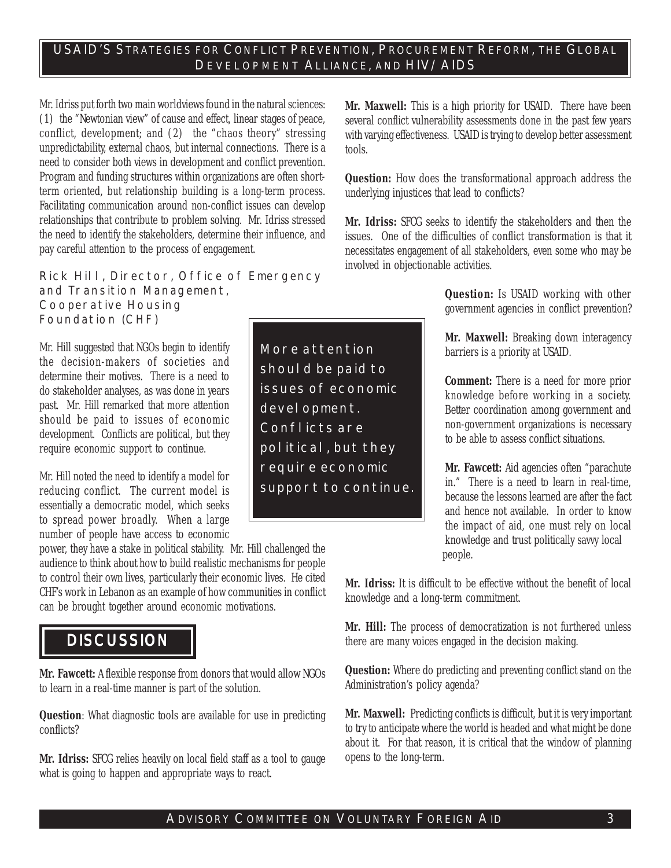Mr. Idriss put forth two main worldviews found in the natural sciences: (1) the "Newtonian view" of cause and effect, linear stages of peace, conflict, development; and (2) the "chaos theory" stressing unpredictability, external chaos, but internal connections. There is a need to consider both views in development and conflict prevention. Program and funding structures within organizations are often shortterm oriented, but relationship building is a long-term process. Facilitating communication around non-conflict issues can develop relationships that contribute to problem solving. Mr. Idriss stressed the need to identify the stakeholders, determine their influence, and pay careful attention to the process of engagement.

**Rick Hill,** Director, Office of Emergency and Transition Management, Cooperative Housing Foundation (CHF)

Mr. Hill suggested that NGOs begin to identify the decision-makers of societies and determine their motives. There is a need to do stakeholder analyses, as was done in years past. Mr. Hill remarked that more attention should be paid to issues of economic development. Conflicts are political, but they require economic support to continue.

Mr. Hill noted the need to identify a model for reducing conflict. The current model is essentially a democratic model, which seeks to spread power broadly. When a large number of people have access to economic

power, they have a stake in political stability. Mr. Hill challenged the audience to think about how to build realistic mechanisms for people to control their own lives, particularly their economic lives. He cited CHF's work in Lebanon as an example of how communities in conflict can be brought together around economic motivations.

## **DISCUSSION**

**Mr. Fawcett:** A flexible response from donors that would allow NGOs to learn in a real-time manner is part of the solution.

**Question**: What diagnostic tools are available for use in predicting conflicts?

**Mr. Idriss:** SFCG relies heavily on local field staff as a tool to gauge what is going to happen and appropriate ways to react.

**Mr. Maxwell:** This is a high priority for USAID. There have been several conflict vulnerability assessments done in the past few years with varying effectiveness. USAID is trying to develop better assessment tools.

**Question:** How does the transformational approach address the underlying injustices that lead to conflicts?

**Mr. Idriss:** SFCG seeks to identify the stakeholders and then the issues. One of the difficulties of conflict transformation is that it necessitates engagement of all stakeholders, even some who may be involved in objectionable activities.

> **Question:** Is USAID working with other government agencies in conflict prevention?

> **Mr. Maxwell:** Breaking down interagency barriers is a priority at USAID.

> **Comment:** There is a need for more prior knowledge before working in a society. Better coordination among government and non-government organizations is necessary to be able to assess conflict situations.

**Mr. Fawcett:** Aid agencies often "parachute in." There is a need to learn in real-time, because the lessons learned are after the fact and hence not available. In order to know the impact of aid, one must rely on local knowledge and trust politically savvy local people.

**Mr. Idriss:** It is difficult to be effective without the benefit of local knowledge and a long-term commitment.

**Mr. Hill:** The process of democratization is not furthered unless there are many voices engaged in the decision making.

**Question:** Where do predicting and preventing conflict stand on the Administration's policy agenda?

**Mr. Maxwell:** Predicting conflicts is difficult, but it is very important to try to anticipate where the world is headed and what might be done about it. For that reason, it is critical that the window of planning opens to the long-term.

**More attention should be paid to issues of economic development. Conflicts are political, but they require economic support to continue.**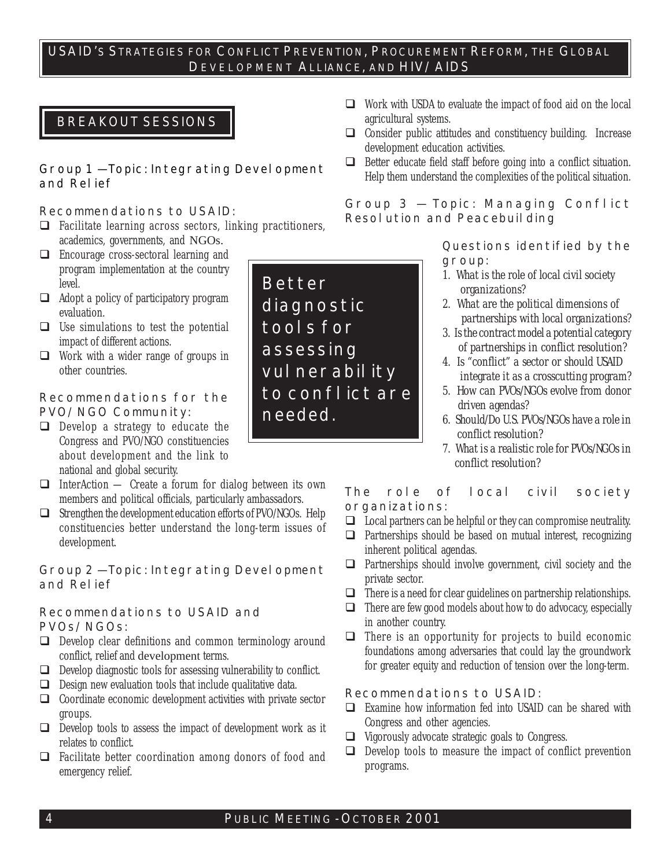#### **BREAKOUT SESSIONS**

#### **Group 1 — Topic: Integrating Development and Relief**

#### **Recommendations to USAID:**

- $\Box$  Facilitate learning across sectors, linking practitioners, academics, governments, and NGOs.
- $\Box$  Encourage cross-sectoral learning and program implementation at the country level.
- $\Box$  Adopt a policy of participatory program evaluation.
- $\Box$  Use simulations to test the potential impact of different actions.
- ! Work with a wider range of groups in other countries.

#### **Recommendations for the PVO/NGO Community:**

- $\Box$  Develop a strategy to educate the Congress and PVO/NGO constituencies about development and the link to national and global security.
- $\Box$  InterAction Create a forum for dialog between its own members and political officials, particularly ambassadors.
- $\Box$  Strengthen the development education efforts of PVO/NGOs. Help constituencies better understand the long-term issues of development.

**Group 2 — Topic: Integrating Development and Relief**

#### **Recommendations to USAID and PVOs/NGOs:**

- $\Box$  Develop clear definitions and common terminology around conflict, relief and development terms.
- $\Box$  Develop diagnostic tools for assessing vulnerability to conflict.
- $\Box$  Design new evaluation tools that include qualitative data.
- $\Box$  Coordinate economic development activities with private sector groups.
- $\Box$  Develop tools to assess the impact of development work as it relates to conflict.
- $\Box$  Facilitate better coordination among donors of food and emergency relief.
- $\Box$  Work with USDA to evaluate the impact of food aid on the local agricultural systems.
- $\Box$  Consider public attitudes and constituency building. Increase development education activities.
- $\Box$  Better educate field staff before going into a conflict situation. Help them understand the complexities of the political situation.

#### **Group 3 — Topic: Managing Conflict Resolution and Peacebuilding**

**Questions identified by the group:**

- *1. What is the role of local civil society organizations?*
- *2. What are the political dimensions of partnerships with local organizations?*
- *3. Is the contract model a potential category of partnerships in conflict resolution?*
- *4. Is "conflict" a sector or should USAID integrate it as a crosscutting program?*
- *5. How can PVOs/NGOs evolve from donor driven agendas?*
- *6. Should/Do U.S. PVOs/NGOs have a role in conflict resolution?*
- *7. What is a realistic role for PVOs/NGOs in conflict resolution?*

#### **The role of local civil society organizations:**

- $\Box$  Local partners can be helpful or they can compromise neutrality.
- $\Box$  Partnerships should be based on mutual interest, recognizing inherent political agendas.
- $\Box$  Partnerships should involve government, civil society and the private sector.
- $\Box$  There is a need for clear guidelines on partnership relationships.
- $\Box$  There are few good models about how to do advocacy, especially in another country.
- $\Box$  There is an opportunity for projects to build economic foundations among adversaries that could lay the groundwork for greater equity and reduction of tension over the long-term.

#### **Recommendations to USAID:**

- $\Box$  Examine how information fed into USAID can be shared with Congress and other agencies.
- $\Box$  Vigorously advocate strategic goals to Congress.
- $\Box$  Develop tools to measure the impact of conflict prevention programs.

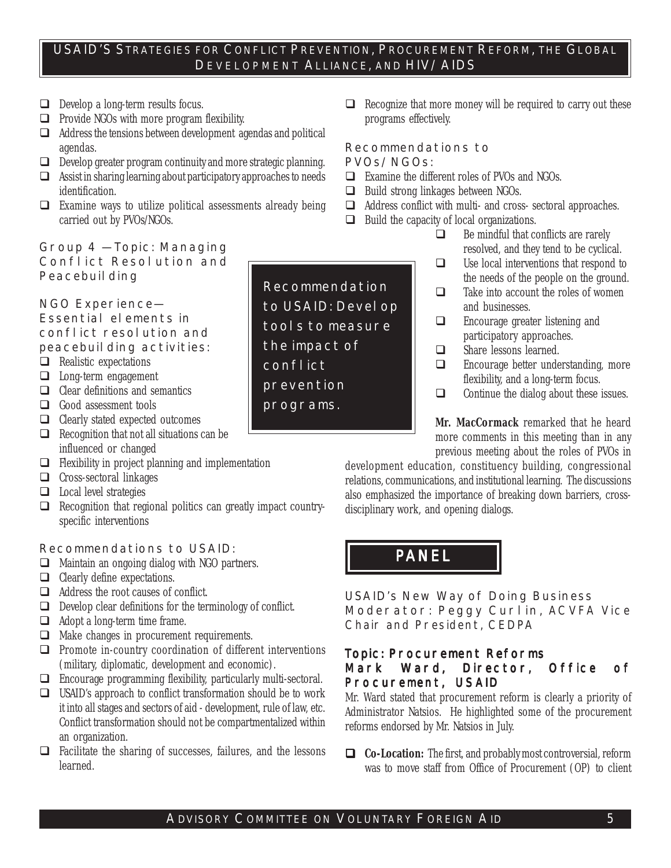- $\Box$  Develop a long-term results focus.
- $\Box$  Provide NGOs with more program flexibility.
- $\Box$  Address the tensions between development agendas and political agendas.
- $\Box$  Develop greater program continuity and more strategic planning.
- $\Box$  Assist in sharing learning about participatory approaches to needs identification.
- $\Box$  Examine ways to utilize political assessments already being carried out by PVOs/NGOs.

#### **Group 4 — Topic: Managing Conflict Resolution and Peacebuilding**

**NGO Experience— Essential elements in conflict resolution and peacebuilding activities:**

- $\Box$  Realistic expectations
- **I** Long-term engagement
- $\Box$  Clear definitions and semantics
- $\Box$  Good assessment tools
- $\Box$  Clearly stated expected outcomes
- $\Box$  Recognition that not all situations can be influenced or changed
- $\Box$  Flexibility in project planning and implementation
- $\Box$  Cross-sectoral linkages
- $\Box$  Local level strategies
- $\Box$  Recognition that regional politics can greatly impact countryspecific interventions

#### **Recommendations to USAID:**

- $\Box$  Maintain an ongoing dialog with NGO partners.
- $\Box$  Clearly define expectations.
- $\Box$  Address the root causes of conflict.
- $\Box$  Develop clear definitions for the terminology of conflict.
- $\Box$  Adopt a long-term time frame.
- $\Box$  Make changes in procurement requirements.
- $\Box$  Promote in-country coordination of different interventions (military, diplomatic, development and economic).
- $\Box$  Encourage programming flexibility, particularly multi-sectoral.
- $\Box$  USAID's approach to conflict transformation should be to work it into all stages and sectors of aid - development, rule of law, etc. Conflict transformation should not be compartmentalized within an organization.
- $\Box$  Facilitate the sharing of successes, failures, and the lessons learned.

 $\Box$  Recognize that more money will be required to carry out these programs effectively.

#### **Recommendations to PVOs/NGOs:**

- $\Box$  Examine the different roles of PVOs and NGOs.
- $\Box$  Build strong linkages between NGOs.
- $\Box$  Address conflict with multi- and cross- sectoral approaches.
- $\Box$  Build the capacity of local organizations.
	- $\Box$  Be mindful that conflicts are rarely resolved, and they tend to be cyclical.
	- $\Box$  Use local interventions that respond to the needs of the people on the ground.
	- $\Box$  Take into account the roles of women and businesses.
	- $\Box$  Encourage greater listening and participatory approaches.
	- $\Box$  Share lessons learned.
	- $\Box$  Encourage better understanding, more flexibility, and a long-term focus.
	- $\Box$  Continue the dialog about these issues.

**Mr. MacCormack** remarked that he heard more comments in this meeting than in any previous meeting about the roles of PVOs in

development education, constituency building, congressional relations, communications, and institutional learning. The discussions also emphasized the importance of breaking down barriers, crossdisciplinary work, and opening dialogs.

## **PANEL**

**USAID's New Way of Doing Business Moderator: Peggy Curlin,** ACVFA Vice Chair and President, CEDPA

#### **Topic: Procurement Reforms**

#### **Mark Ward,** Director, Office of Procurement, USAID

Mr. Ward stated that procurement reform is clearly a priority of Administrator Natsios. He highlighted some of the procurement reforms endorsed by Mr. Natsios in July.

! **Co-Location:** The first, and probably most controversial, reform was to move staff from Office of Procurement (OP) to client

## **Recommendation to USAID: Develop tools to measure the impact of conflict prevention programs.**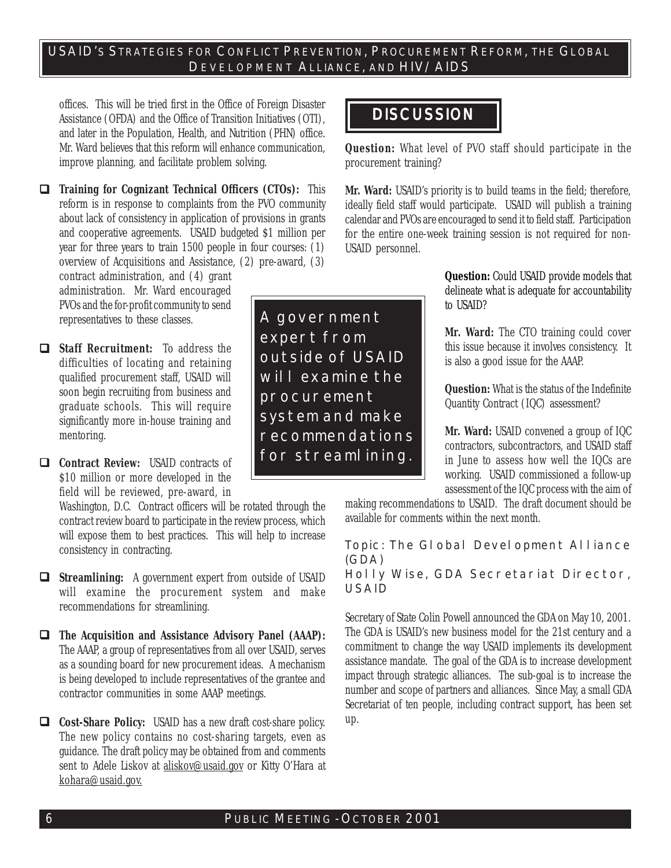offices. This will be tried first in the Office of Foreign Disaster Assistance (OFDA) and the Office of Transition Initiatives (OTI), and later in the Population, Health, and Nutrition (PHN) office. Mr. Ward believes that this reform will enhance communication, improve planning, and facilitate problem solving.

! **Training for Cognizant Technical Officers (CTOs):** This reform is in response to complaints from the PVO community about lack of consistency in application of provisions in grants and cooperative agreements. USAID budgeted \$1 million per year for three years to train 1500 people in four courses: (1) overview of Acquisitions and Assistance, (2) pre-award, (3)

contract administration, and (4) grant administration. Mr. Ward encouraged PVOs and the for-profit community to send representatives to these classes.

- ! **Staff Recruitment:** To address the difficulties of locating and retaining qualified procurement staff, USAID will soon begin recruiting from business and graduate schools. This will require significantly more in-house training and mentoring.
- ! **Contract Review:** USAID contracts of \$10 million or more developed in the field will be reviewed, pre-award, in

Washington, D.C. Contract officers will be rotated through the contract review board to participate in the review process, which will expose them to best practices. This will help to increase consistency in contracting.

- ! **Streamlining:** A government expert from outside of USAID will examine the procurement system and make recommendations for streamlining.
- ! **The Acquisition and Assistance Advisory Panel (AAAP):** The AAAP, a group of representatives from all over USAID, serves as a sounding board for new procurement ideas. A mechanism is being developed to include representatives of the grantee and contractor communities in some AAAP meetings.

! **Cost-Share Policy:** USAID has a new draft cost-share policy. The new policy contains no cost-sharing targets, even as guidance. The draft policy may be obtained from and comments sent to Adele Liskov at aliskov@usaid.gov or Kitty O'Hara at kohara@usaid.gov.

**A government expert from outside of USAID will examine the procurement system and make recommendations for streamlining.**

## **DISCUSSION**

**Question:** What level of PVO staff should participate in the procurement training?

**Mr. Ward:** USAID's priority is to build teams in the field; therefore, ideally field staff would participate. USAID will publish a training calendar and PVOs are encouraged to send it to field staff. Participation for the entire one-week training session is not required for non-USAID personnel.

> **Question:** Could USAID provide models that delineate what is adequate for accountability to USAID?

> **Mr. Ward:** The CTO training could cover this issue because it involves consistency. It is also a good issue for the AAAP.

> **Question:** What is the status of the Indefinite Quantity Contract (IQC) assessment?

> **Mr. Ward:** USAID convened a group of IQC contractors, subcontractors, and USAID staff in June to assess how well the IQCs are working. USAID commissioned a follow-up assessment of the IQC process with the aim of

making recommendations to USAID. The draft document should be available for comments within the next month.

**Topic: The Global Development Alliance (GDA)**

**Holly Wise, GDA Secretariat Director, USAID**

Secretary of State Colin Powell announced the GDA on May 10, 2001. The GDA is USAID's new business model for the 21st century and a commitment to change the way USAID implements its development assistance mandate. The goal of the GDA is to increase development impact through strategic alliances. The sub-goal is to increase the number and scope of partners and alliances. Since May, a small GDA Secretariat of ten people, including contract support, has been set up.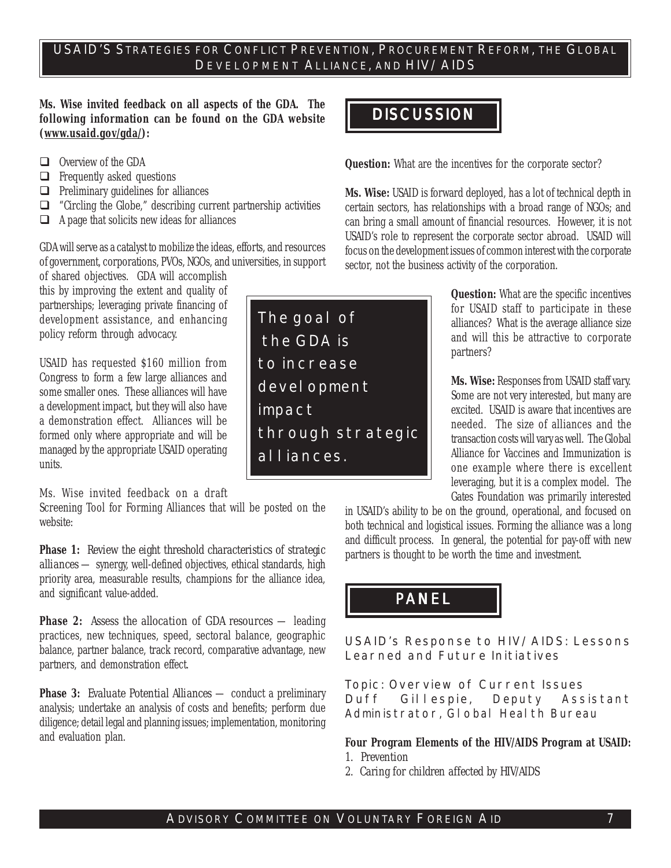**The goal of**

 **the GDA is**

**to increase**

**alliances.**

**impact**

**development**

**through strategic**

**Ms. Wise invited feedback on all aspects of the GDA. The following information can be found on the GDA website (www.usaid.gov/gda/):**

- $\Box$  Overview of the GDA
- $\Box$  Frequently asked questions
- $\Box$  Preliminary guidelines for alliances
- $\Box$  "Circling the Globe," describing current partnership activities
- $\Box$  A page that solicits new ideas for alliances

GDA will serve as a catalyst to mobilize the ideas, efforts, and resources of government, corporations, PVOs, NGOs, and universities, in support

of shared objectives. GDA will accomplish this by improving the extent and quality of partnerships; leveraging private financing of development assistance, and enhancing policy reform through advocacy.

USAID has requested \$160 million from Congress to form a few large alliances and some smaller ones. These alliances will have a development impact, but they will also have a demonstration effect. Alliances will be formed only where appropriate and will be managed by the appropriate USAID operating units.

Ms. Wise invited feedback on a draft

Screening Tool for Forming Alliances that will be posted on the website:

**Phase 1:** *Review the eight threshold characteristics of strategic alliances* — synergy, well-defined objectives, ethical standards, high priority area, measurable results, champions for the alliance idea, and significant value-added.

**Phase 2:** *Assess the allocation of GDA resources* — leading practices, new techniques, speed, sectoral balance, geographic balance, partner balance, track record, comparative advantage, new partners, and demonstration effect.

**Phase 3:** *Evaluate Potential Alliances* — conduct a preliminary analysis; undertake an analysis of costs and benefits; perform due diligence; detail legal and planning issues; implementation, monitoring and evaluation plan.

## **DISCUSSION**

**Question:** What are the incentives for the corporate sector?

**Ms. Wise:** USAID is forward deployed, has a lot of technical depth in certain sectors, has relationships with a broad range of NGOs; and can bring a small amount of financial resources. However, it is not USAID's role to represent the corporate sector abroad. USAID will focus on the development issues of common interest with the corporate sector, not the business activity of the corporation.

> **Question:** What are the specific incentives for USAID staff to participate in these alliances? What is the average alliance size and will this be attractive to corporate partners?

> **Ms. Wise:** Responses from USAID staff vary. Some are not very interested, but many are excited. USAID is aware that incentives are needed. The size of alliances and the transaction costs will vary as well. The Global Alliance for Vaccines and Immunization is one example where there is excellent leveraging, but it is a complex model. The Gates Foundation was primarily interested

in USAID's ability to be on the ground, operational, and focused on both technical and logistical issues. Forming the alliance was a long and difficult process. In general, the potential for pay-off with new partners is thought to be worth the time and investment.

# **PANEL**

**USAID's Response to HIV/AIDS: Lessons Learned and Future Initiatives**

**Topic: Overview of Current Issues Duff Gillespie,** Deputy Assistant Administrator, Global Health Bureau

#### **Four Program Elements of the HIV/AIDS Program at USAID:**

- *1. Prevention*
- *2. Caring for children affected by HIV/AIDS*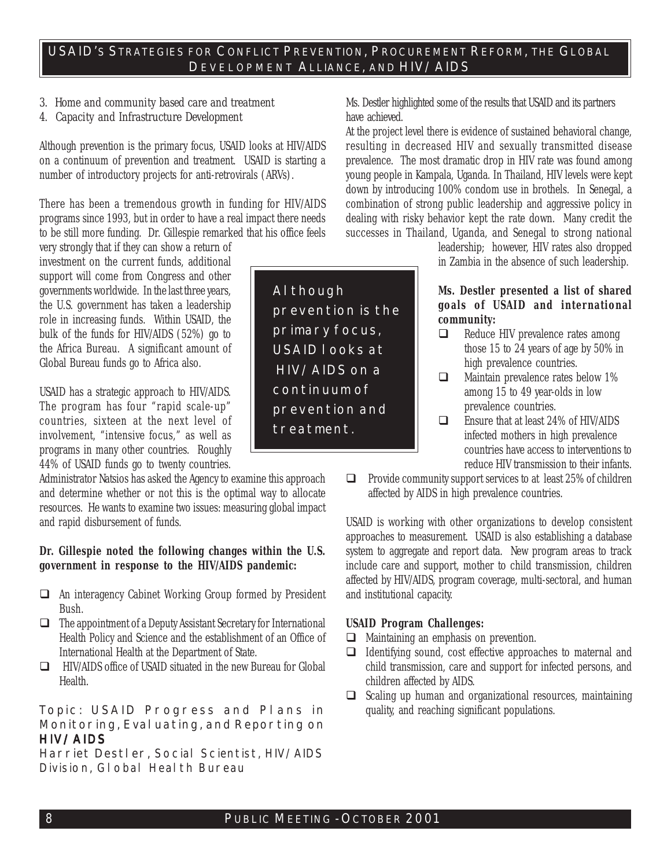#### *3. Home and community based care and treatment*

#### *4. Capacity and Infrastructure Development*

Although prevention is the primary focus, USAID looks at HIV/AIDS on a continuum of prevention and treatment. USAID is starting a number of introductory projects for anti-retrovirals (ARVs).

There has been a tremendous growth in funding for HIV/AIDS programs since 1993, but in order to have a real impact there needs to be still more funding. Dr. Gillespie remarked that his office feels

very strongly that if they can show a return of investment on the current funds, additional support will come from Congress and other governments worldwide. In the last three years, the U.S. government has taken a leadership role in increasing funds. Within USAID, the bulk of the funds for HIV/AIDS (52%) go to the Africa Bureau. A significant amount of Global Bureau funds go to Africa also.

USAID has a strategic approach to HIV/AIDS. The program has four "rapid scale-up" countries, sixteen at the next level of involvement, "intensive focus," as well as programs in many other countries. Roughly 44% of USAID funds go to twenty countries.

Administrator Natsios has asked the Agency to examine this approach and determine whether or not this is the optimal way to allocate resources. He wants to examine two issues: measuring global impact and rapid disbursement of funds.

#### **Dr. Gillespie noted the following changes within the U.S. government in response to the HIV/AIDS pandemic:**

- ! An interagency Cabinet Working Group formed by President Bush.
- $\Box$  The appointment of a Deputy Assistant Secretary for International Health Policy and Science and the establishment of an Office of International Health at the Department of State.
- ! HIV/AIDS office of USAID situated in the new Bureau for Global Health.

#### **Topic: USAID Progress and Plans in Monitoring, Evaluating, and Reporting on HIV/AIDS**

**Harriet Destler,** Social Scientist, HIV/AIDS Division, GI obal Heal th Bureau

**Although prevention is the primary focus, USAID looks at HIV/AIDS on a continuum of prevention and treatment.**

Ms. Destler highlighted some of the results that USAID and its partners have achieved.

At the project level there is evidence of sustained behavioral change, resulting in decreased HIV and sexually transmitted disease prevalence. The most dramatic drop in HIV rate was found among young people in Kampala, Uganda. In Thailand, HIV levels were kept down by introducing 100% condom use in brothels. In Senegal, a combination of strong public leadership and aggressive policy in dealing with risky behavior kept the rate down. Many credit the successes in Thailand, Uganda, and Senegal to strong national

> leadership; however, HIV rates also dropped in Zambia in the absence of such leadership.

#### **Ms. Destler presented a list of shared goals of USAID and international community:**

- $\Box$  Reduce HIV prevalence rates among those 15 to 24 years of age by 50% in high prevalence countries.
- **I Maintain prevalence rates below 1%** among 15 to 49 year-olds in low prevalence countries.
- □ Ensure that at least 24% of HIV/AIDS infected mothers in high prevalence countries have access to interventions to reduce HIV transmission to their infants.

 $\Box$  Provide community support services to at least 25% of children affected by AIDS in high prevalence countries.

USAID is working with other organizations to develop consistent approaches to measurement. USAID is also establishing a database system to aggregate and report data. New program areas to track include care and support, mother to child transmission, children affected by HIV/AIDS, program coverage, multi-sectoral, and human and institutional capacity.

#### **USAID Program Challenges:**

- $\Box$  Maintaining an emphasis on prevention.
- $\Box$  Identifying sound, cost effective approaches to maternal and child transmission, care and support for infected persons, and children affected by AIDS.
- $\Box$  Scaling up human and organizational resources, maintaining quality, and reaching significant populations.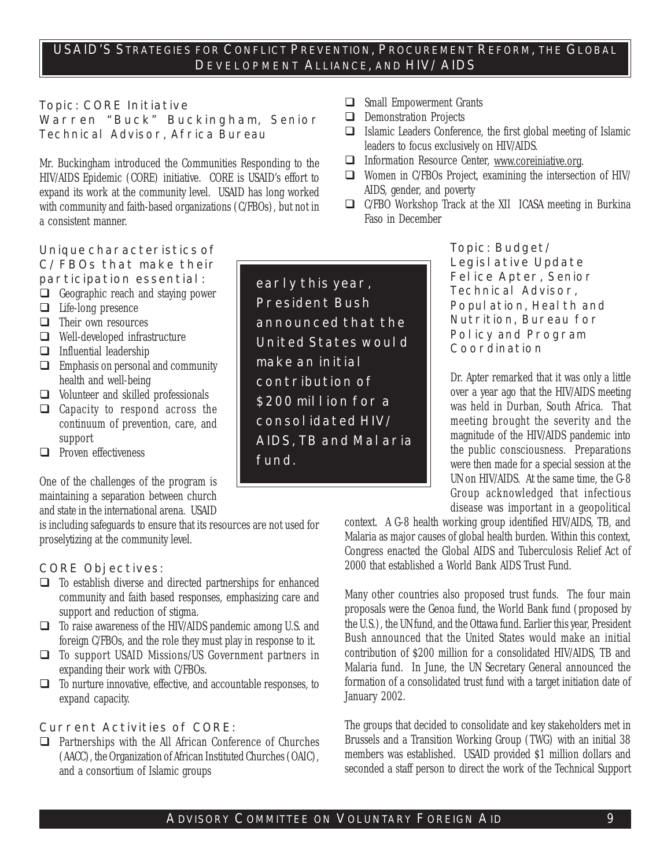#### **Topic: CORE Initiative**

**Warren "Buck" Buckingham,** Senior Technical Advisor, Africa Bureau

Mr. Buckingham introduced the Communities Responding to the HIV/AIDS Epidemic (CORE) initiative. CORE is USAID's effort to expand its work at the community level. USAID has long worked with community and faith-based organizations (C/FBOs), but not in a consistent manner.

#### $\Box$  Small Empowerment Grants  $\Box$  Demonstration Projects

- $\Box$  Islamic Leaders Conference, the first global meeting of Islamic leaders to focus exclusively on HIV/AIDS.
- ! Information Resource Center, www.coreiniative.org.
- ! Women in C/FBOs Project, examining the intersection of HIV/ AIDS, gender, and poverty
- ! C/FBO Workshop Track at the XII ICASA meeting in Burkina Faso in December

#### **Unique characteristics of C/FBOs that make their participation essential:**

- $\Box$  Geographic reach and staying power
- $\Box$  Life-long presence
- $\Box$  Their own resources
- □ Well-developed infrastructure
- $\Box$  Influential leadership
- $\Box$  Emphasis on personal and community health and well-being
- $\Box$  Volunteer and skilled professionals
- $\Box$  Capacity to respond across the continuum of prevention, care, and support
- $\Box$  Proven effectiveness

One of the challenges of the program is maintaining a separation between church and state in the international arena. USAID

is including safeguards to ensure that its resources are not used for proselytizing at the community level.

#### **CORE Objectives:**

- $\Box$  To establish diverse and directed partnerships for enhanced community and faith based responses, emphasizing care and support and reduction of stigma.
- ! To raise awareness of the HIV/AIDS pandemic among U.S. and foreign C/FBOs, and the role they must play in response to it.
- $\Box$  To support USAID Missions/US Government partners in expanding their work with C/FBOs.
- $\Box$  To nurture innovative, effective, and accountable responses, to expand capacity.

#### **Current Activities of CORE:**

 $\Box$  Partnerships with the All African Conference of Churches (AACC), the Organization of African Instituted Churches (OAIC), and a consortium of Islamic groups

**early this year, President Bush announced that the United States would make an initial contribution of \$200 million for a consolidated HIV/ AIDS, TB and Malaria fund.**

**Topic: Budget/ Legislative Update Felice Apter,** Senior Technical Advisor, Popul ation, Heal th and Nutrition, Bureau for Policy and Program Coordination

Dr. Apter remarked that it was only a little over a year ago that the HIV/AIDS meeting was held in Durban, South Africa. That meeting brought the severity and the magnitude of the HIV/AIDS pandemic into the public consciousness. Preparations were then made for a special session at the UN on HIV/AIDS. At the same time, the G-8 Group acknowledged that infectious disease was important in a geopolitical

context. A G-8 health working group identified HIV/AIDS, TB, and Malaria as major causes of global health burden. Within this context, Congress enacted the Global AIDS and Tuberculosis Relief Act of 2000 that established a World Bank AIDS Trust Fund.

Many other countries also proposed trust funds. The four main proposals were the Genoa fund, the World Bank fund (proposed by the U.S.), the UN fund, and the Ottawa fund. Earlier this year, President Bush announced that the United States would make an initial contribution of \$200 million for a consolidated HIV/AIDS, TB and Malaria fund. In June, the UN Secretary General announced the formation of a consolidated trust fund with a target initiation date of January 2002.

The groups that decided to consolidate and key stakeholders met in Brussels and a Transition Working Group (TWG) with an initial 38 members was established. USAID provided \$1 million dollars and seconded a staff person to direct the work of the Technical Support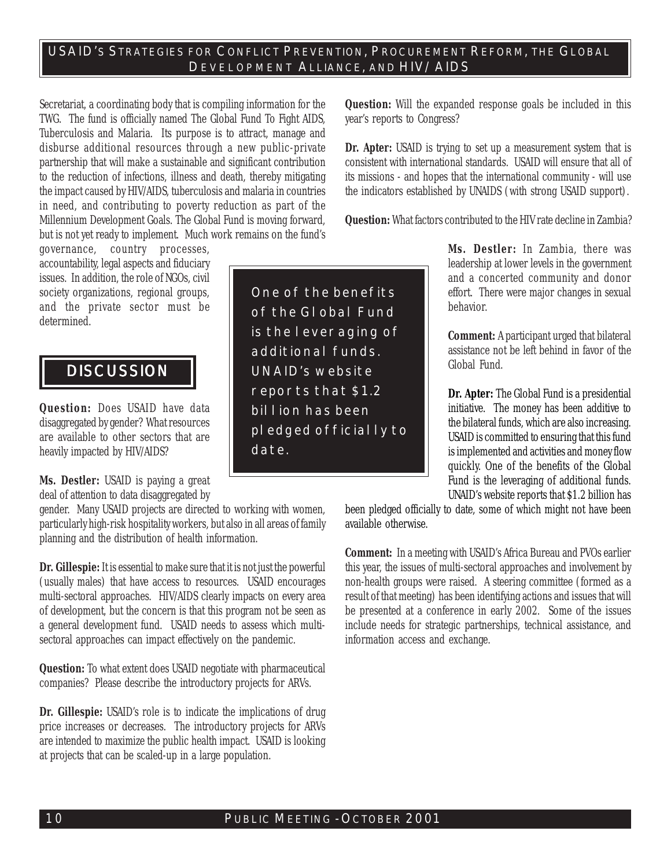Secretariat, a coordinating body that is compiling information for the TWG. The fund is officially named The Global Fund To Fight AIDS, Tuberculosis and Malaria. Its purpose is to attract, manage and disburse additional resources through a new public-private partnership that will make a sustainable and significant contribution to the reduction of infections, illness and death, thereby mitigating the impact caused by HIV/AIDS, tuberculosis and malaria in countries in need, and contributing to poverty reduction as part of the Millennium Development Goals. The Global Fund is moving forward, but is not yet ready to implement. Much work remains on the fund's

governance, country processes, accountability, legal aspects and fiduciary issues. In addition, the role of NGOs, civil society organizations, regional groups, and the private sector must be determined.

## **DISCUSSION**

**Question:** Does USAID have data disaggregated by gender? What resources are available to other sectors that are heavily impacted by HIV/AIDS?

**Ms. Destler:** USAID is paying a great deal of attention to data disaggregated by

gender. Many USAID projects are directed to working with women, particularly high-risk hospitality workers, but also in all areas of family planning and the distribution of health information.

**Dr. Gillespie:** It is essential to make sure that it is not just the powerful (usually males) that have access to resources. USAID encourages multi-sectoral approaches. HIV/AIDS clearly impacts on every area of development, but the concern is that this program not be seen as a general development fund. USAID needs to assess which multisectoral approaches can impact effectively on the pandemic.

**Question:** To what extent does USAID negotiate with pharmaceutical companies? Please describe the introductory projects for ARVs.

**Dr. Gillespie:** USAID's role is to indicate the implications of drug price increases or decreases. The introductory projects for ARVs are intended to maximize the public health impact. USAID is looking at projects that can be scaled-up in a large population.

**One of the benefits of the Global Fund is the leveraging of additional funds. UNAID's website reports that \$1.2 billion has been pledged officially to date.**

**Question:** Will the expanded response goals be included in this year's reports to Congress?

**Dr. Apter:** USAID is trying to set up a measurement system that is consistent with international standards. USAID will ensure that all of its missions - and hopes that the international community - will use the indicators established by UNAIDS (with strong USAID support).

**Question:** What factors contributed to the HIV rate decline in Zambia?

**Ms. Destler:** In Zambia, there was leadership at lower levels in the government and a concerted community and donor effort. There were major changes in sexual behavior.

**Comment:** A participant urged that bilateral assistance not be left behind in favor of the Global Fund.

**Dr. Apter:** The Global Fund is a presidential initiative. The money has been additive to the bilateral funds, which are also increasing. USAID is committed to ensuring that this fund is implemented and activities and money flow quickly. One of the benefits of the Global Fund is the leveraging of additional funds. UNAID's website reports that \$1.2 billion has

been pledged officially to date, some of which might not have been available otherwise.

**Comment:** In a meeting with USAID's Africa Bureau and PVOs earlier this year, the issues of multi-sectoral approaches and involvement by non-health groups were raised. A steering committee (formed as a result of that meeting) has been identifying actions and issues that will be presented at a conference in early 2002. Some of the issues include needs for strategic partnerships, technical assistance, and information access and exchange.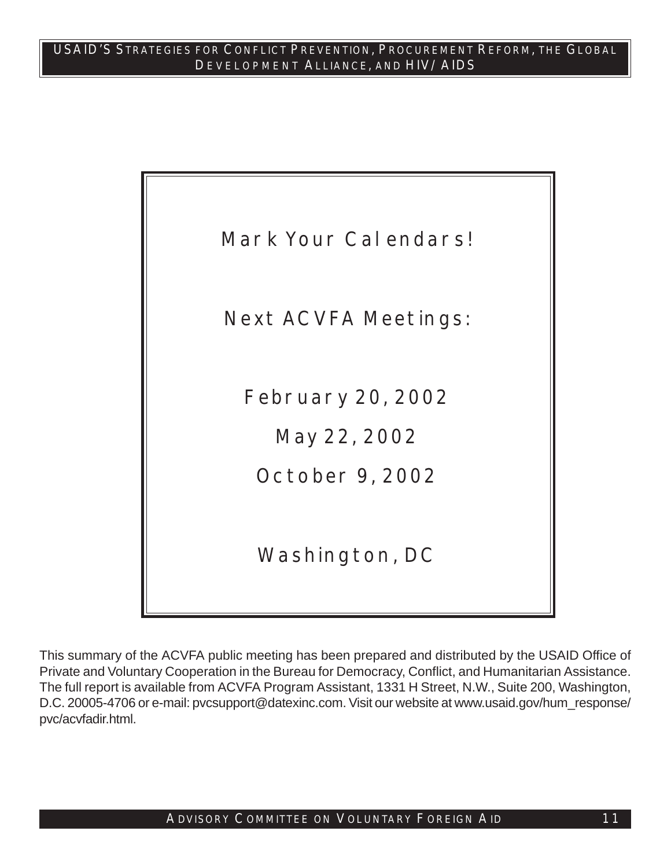

This summary of the ACVFA public meeting has been prepared and distributed by the USAID Office of Private and Voluntary Cooperation in the Bureau for Democracy, Conflict, and Humanitarian Assistance. The full report is available from ACVFA Program Assistant, 1331 H Street, N.W., Suite 200, Washington, D.C. 20005-4706 or e-mail: pvcsupport@datexinc.com. Visit our website at www.usaid.gov/hum\_response/ pvc/acvfadir.html.